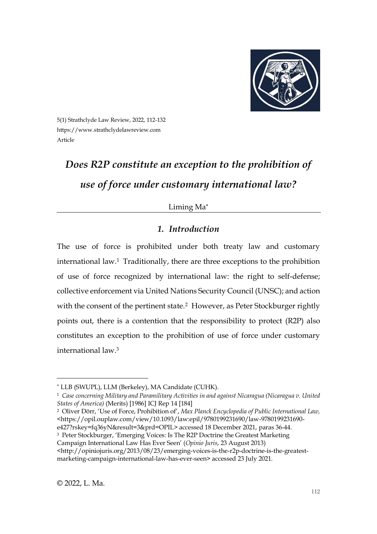

5(1) Strathclyde Law Review, 2022, 112-132 https://www.strathclydelawreview.com Article

# *Does R2P constitute an exception to the prohibition of use of force under customary international law?*

## Liming Ma

# *1. Introduction*

The use of force is prohibited under both treaty law and customary international law.<sup>1</sup> Traditionally, there are three exceptions to the prohibition of use of force recognized by international law: the right to self-defense; collective enforcement via United Nations Security Council (UNSC); and action with the consent of the pertinent state.<sup>2</sup> However, as Peter Stockburger rightly points out, there is a contention that the responsibility to protect (R2P) also constitutes an exception to the prohibition of use of force under customary international law.<sup>3</sup>

<sup>2</sup> Oliver Dörr, 'Use of Force, Prohibition of', *Max Planck Encyclopedia of Public International Law,* <https://opil.ouplaw.com/view/10.1093/law:epil/9780199231690/law-9780199231690-

LLB (SWUPL), LLM (Berkeley), MA Candidate (CUHK).

<sup>1</sup> *Case concerning Military and Paramilitary Activities in and against Nicaragua (Nicaragua v. United States of America)* (Merits) [1986] ICJ Rep 14 [184]

e427?rskey=fq36yN&result=3&prd=OPIL> accessed 18 December 2021, paras 36-44.

<sup>3</sup> Peter Stockburger, 'Emerging Voices: Is The R2P Doctrine the Greatest Marketing Campaign International Law Has Ever Seen' (*Opinio Juris*, 23 August 2013)

<sup>&</sup>lt;http://opiniojuris.org/2013/08/23/emerging-voices-is-the-r2p-doctrine-is-the-greatestmarketing-campaign-international-law-has-ever-seen> accessed 23 July 2021.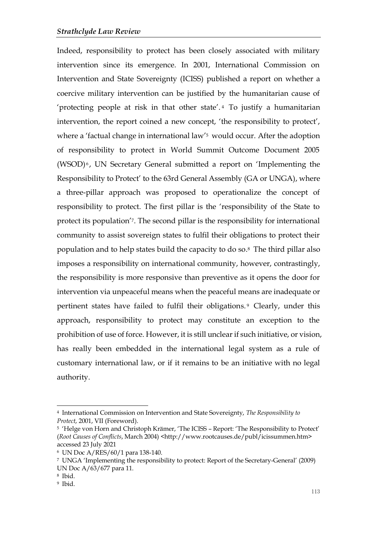Indeed, responsibility to protect has been closely associated with military intervention since its emergence. In 2001, International Commission on Intervention and State Sovereignty (ICISS) published a report on whether a coercive military intervention can be justified by the humanitarian cause of 'protecting people at risk in that other state'. <sup>4</sup> To justify a humanitarian intervention, the report coined a new concept, 'the responsibility to protect', where a 'factual change in international law' <sup>5</sup> would occur. After the adoption of responsibility to protect in World Summit Outcome Document 2005 (WSOD)<sup>6</sup>, UN Secretary General submitted a report on 'Implementing the Responsibility to Protect' to the 63rd General Assembly (GA or UNGA), where a three-pillar approach was proposed to operationalize the concept of responsibility to protect. The first pillar is the 'responsibility of the State to protect its population' <sup>7</sup>. The second pillar is the responsibility for international community to assist sovereign states to fulfil their obligations to protect their population and to help states build the capacity to do so. <sup>8</sup> The third pillar also imposes a responsibility on international community, however, contrastingly, the responsibility is more responsive than preventive as it opens the door for intervention via unpeaceful means when the peaceful means are inadequate or pertinent states have failed to fulfil their obligations. <sup>9</sup> Clearly, under this approach, responsibility to protect may constitute an exception to the prohibition of use of force. However, it is still unclear if such initiative, or vision, has really been embedded in the international legal system as a rule of customary international law, or if it remains to be an initiative with no legal authority.

<sup>4</sup> International Commission on Intervention and State Sovereignty, *The Responsibility to Protect*, 2001, VII (Foreword).

<sup>5</sup> 'Helge von Horn and Christoph Krämer, 'The ICISS – Report: 'The Responsibility to Protect' (*Root Causes of Conflicts*, March 2004) <http://www.rootcauses.de/publ/icissummen.htm> accessed 23 July 2021

<sup>6</sup> UN Doc A/RES/60/1 para 138-140.

<sup>7</sup> UNGA 'Implementing the responsibility to protect: Report of the Secretary-General' (2009) UN Doc A/63/677 para 11.

<sup>8</sup> Ibid.

<sup>9</sup> Ibid.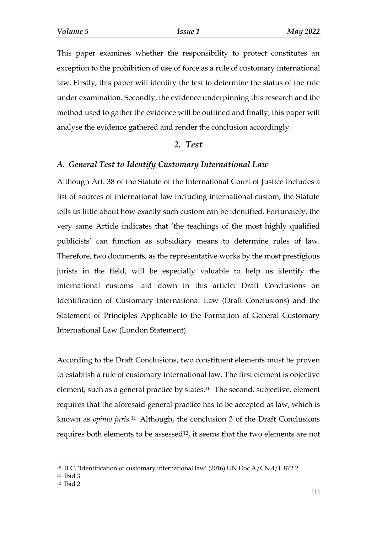This paper examines whether the responsibility to protect constitutes an exception to the prohibition of use of force as a rule of customary international law. Firstly, this paper will identify the test to determine the status of the rule under examination. Secondly, the evidence underpinning this research and the method used to gather the evidence will be outlined and finally, this paper will analyse the evidence gathered and render the conclusion accordingly.

#### *2. Test*

#### *A. General Test to Identify Customary International Law*

Although Art. 38 of the Statute of the International Court of Justice includes a list of sources of international law including international custom, the Statute tells us little about how exactly such custom can be identified. Fortunately, the very same Article indicates that 'the teachings of the most highly qualified publicists' can function as subsidiary means to determine rules of law. Therefore, two documents, as the representative works by the most prestigious jurists in the field, will be especially valuable to help us identify the international customs laid down in this article: Draft Conclusions on Identification of Customary International Law (Draft Conclusions) and the Statement of Principles Applicable to the Formation of General Customary International Law (London Statement).

According to the Draft Conclusions, two constituent elements must be proven to establish a rule of customary international law. The first element is objective element, such as a general practice by states.<sup>10</sup> The second, subjective, element requires that the aforesaid general practice has to be accepted as law, which is known as *opinio juris*. <sup>11</sup> Although, the conclusion 3 of the Draft Conclusions requires both elements to be assessed<sup>12</sup>, it seems that the two elements are not

<sup>10</sup> ILC, 'Identification of customary international law' (2016) UN Doc A/CN.4/L.872 2.

<sup>11</sup> Ibid 3.

<sup>12</sup> Ibid 2.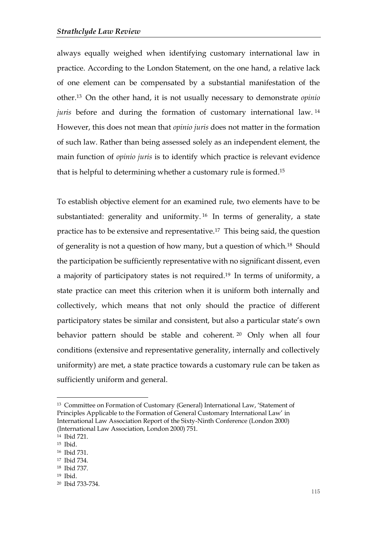always equally weighed when identifying customary international law in practice. According to the London Statement, on the one hand, a relative lack of one element can be compensated by a substantial manifestation of the other. <sup>13</sup> On the other hand, it is not usually necessary to demonstrate *opinio juris* before and during the formation of customary international law.<sup>14</sup> However, this does not mean that *opinio juris* does not matter in the formation of such law. Rather than being assessed solely as an independent element, the main function of *opinio juris* is to identify which practice is relevant evidence that is helpful to determining whether a customary rule is formed. 15

To establish objective element for an examined rule, two elements have to be substantiated: generality and uniformity. <sup>16</sup> In terms of generality, a state practice has to be extensive and representative.<sup>17</sup> This being said, the question of generality is not a question of how many, but a question of which.<sup>18</sup> Should the participation be sufficiently representative with no significant dissent, even a majority of participatory states is not required.<sup>19</sup> In terms of uniformity, a state practice can meet this criterion when it is uniform both internally and collectively, which means that not only should the practice of different participatory states be similar and consistent, but also a particular state's own behavior pattern should be stable and coherent. <sup>20</sup> Only when all four conditions (extensive and representative generality, internally and collectively uniformity) are met, a state practice towards a customary rule can be taken as sufficiently uniform and general.

<sup>13</sup> Committee on Formation of Customary (General) International Law, 'Statement of Principles Applicable to the Formation of General Customary International Law' in International Law Association Report of the Sixty-Ninth Conference (London 2000) (International Law Association, London 2000) 751.

<sup>14</sup> Ibid 721.

<sup>15</sup> Ibid.

<sup>16</sup> Ibid 731.

<sup>17</sup> Ibid 734.

<sup>18</sup> Ibid 737.

<sup>19</sup> Ibid.

<sup>20</sup> Ibid 733-734.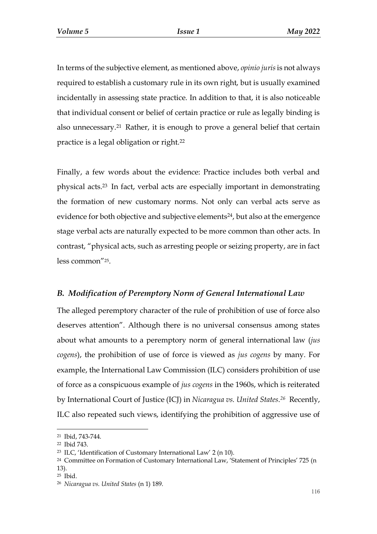In terms of the subjective element, as mentioned above, *opinio juris*is not always required to establish a customary rule in its own right, but is usually examined incidentally in assessing state practice. In addition to that, it is also noticeable that individual consent or belief of certain practice or rule as legally binding is also unnecessary.<sup>21</sup> Rather, it is enough to prove a general belief that certain practice is a legal obligation or right.<sup>22</sup>

Finally, a few words about the evidence: Practice includes both verbal and physical acts.<sup>23</sup> In fact, verbal acts are especially important in demonstrating the formation of new customary norms. Not only can verbal acts serve as evidence for both objective and subjective elements <sup>24</sup>, but also at the emergence stage verbal acts are naturally expected to be more common than other acts. In contrast, "physical acts, such as arresting people or seizing property, are in fact less common"25.

#### *B. Modification of Peremptory Norm of General International Law*

The alleged peremptory character of the rule of prohibition of use of force also deserves attention". Although there is no universal consensus among states about what amounts to a peremptory norm of general international law (*jus cogens*), the prohibition of use of force is viewed as *jus cogens* by many. For example, the International Law Commission (ILC) considers prohibition of use of force as a conspicuous example of *jus cogens* in the 1960s, which is reiterated by International Court of Justice (ICJ) in *Nicaragua vs. United States*. *<sup>26</sup>* Recently, ILC also repeated such views, identifying the prohibition of aggressive use of

<sup>21</sup> Ibid, 743-744.

<sup>22</sup> Ibid 743.

<sup>23</sup> ILC, 'Identification of Customary International Law' 2 (n 10).

<sup>&</sup>lt;sup>24</sup> Committee on Formation of Customary International Law, 'Statement of Principles' 725 (n 13).

<sup>25</sup> Ibid.

<sup>26</sup> *Nicaragua vs. United States* (n 1) 189.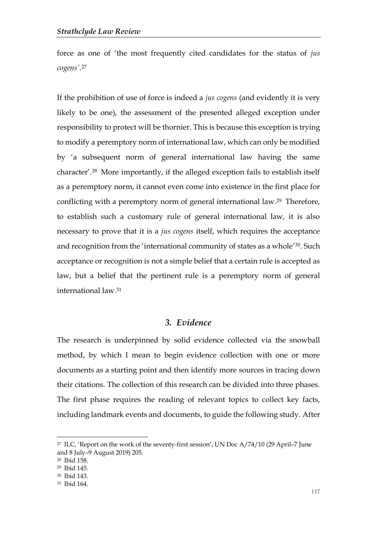force as one of 'the most frequently cited candidates for the status of *jus cogens'*. 27

If the prohibition of use of force is indeed a *jus cogens* (and evidently it is very likely to be one), the assessment of the presented alleged exception under responsibility to protect will be thornier. This is because this exception is trying to modify a peremptory norm of international law, which can only be modified by 'a subsequent norm of general international law having the same character'. <sup>28</sup> More importantly, if the alleged exception fails to establish itself as a peremptory norm, it cannot even come into existence in the first place for conflicting with a peremptory norm of general international law.<sup>29</sup> Therefore, to establish such a customary rule of general international law, it is also necessary to prove that it is a *jus cogens* itself, which requires the acceptance and recognition from the 'international community of states as a whole' 30 . Such acceptance or recognition is not a simple belief that a certain rule is accepted as law, but a belief that the pertinent rule is a peremptory norm of general international law.<sup>31</sup>

## *3. Evidence*

The research is underpinned by solid evidence collected via the snowball method, by which I mean to begin evidence collection with one or more documents as a starting point and then identify more sources in tracing down their citations. The collection of this research can be divided into three phases. The first phase requires the reading of relevant topics to collect key facts, including landmark events and documents, to guide the following study. After

<sup>&</sup>lt;sup>27</sup> ILC, 'Report on the work of the seventy-first session', UN Doc  $A/74/10$  (29 April–7 June and 8 July–9 August 2019) 205.

<sup>28</sup> Ibid 158.

<sup>29</sup> Ibid 145.

<sup>30</sup> Ibid 143.

<sup>31</sup> Ibid 164.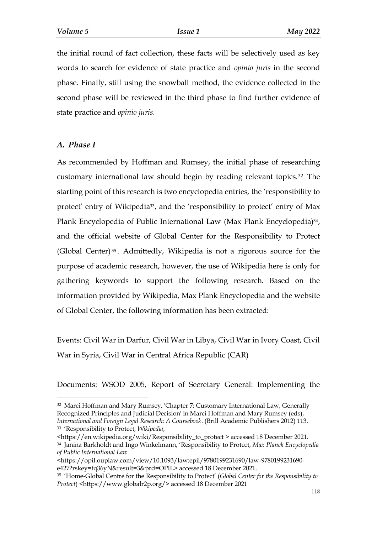the initial round of fact collection, these facts will be selectively used as key words to search for evidence of state practice and *opinio juris* in the second phase. Finally, still using the snowball method, the evidence collected in the second phase will be reviewed in the third phase to find further evidence of state practice and *opinio juris*.

#### *A. Phase I*

-

As recommended by Hoffman and Rumsey, the initial phase of researching customary international law should begin by reading relevant topics.<sup>32</sup> The starting point of this research is two encyclopedia entries, the 'responsibility to protect' entry of Wikipedia33, and the 'responsibility to protect' entry of Max Plank Encyclopedia of Public International Law (Max Plank Encyclopedia)<sup>34</sup>, and the official website of Global Center for the Responsibility to Protect (Global Center) <sup>35</sup> . Admittedly, Wikipedia is not a rigorous source for the purpose of academic research, however, the use of Wikipedia here is only for gathering keywords to support the following research. Based on the information provided by Wikipedia, Max Plank Encyclopedia and the website of Global Center, the following information has been extracted:

Events: Civil War in Darfur, Civil War in Libya, Civil War in Ivory Coast, Civil War in Syria, Civil War in Central Africa Republic (CAR)

Documents: WSOD 2005, Report of Secretary General: Implementing the

<sup>32</sup> Marci Hoffman and Mary Rumsey, 'Chapter 7: Customary International Law, Generally Recognized Principles and Judicial Decision' in Marci Hoffman and Mary Rumsey (eds), *International and Foreign Legal Research: A Coursebook*. (Brill Academic Publishers 2012) 113. <sup>33</sup> 'Responsibility to Protect, *Wikipedia*,

<sup>&</sup>lt;https://en.wikipedia.org/wiki/Responsibility\_to\_protect > accessed 18 December 2021. <sup>34</sup> Janina Barkholdt and Ingo Winkelmann, 'Responsibility to Protect, *Max Planck Encyclopedia of Public International Law*

<sup>&</sup>lt;https://opil.ouplaw.com/view/10.1093/law:epil/9780199231690/law-9780199231690 e427?rskey=fq36yN&result=3&prd=OPIL> accessed 18 December 2021.

<sup>35</sup> 'Home-Global Centre for the Responsibility to Protect' (*Global Center for the Responsibility to Protect*) <https://www.globalr2p.org/> accessed 18 December 2021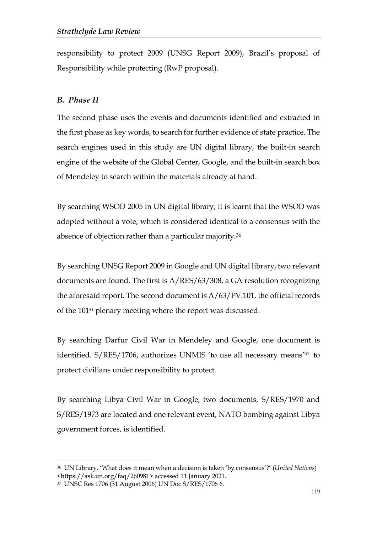responsibility to protect 2009 (UNSG Report 2009), Brazil's proposal of Responsibility while protecting (RwP proposal).

## *B. Phase II*

The second phase uses the events and documents identified and extracted in the first phase as key words, to search for further evidence of state practice. The search engines used in this study are UN digital library, the built-in search engine of the website of the Global Center, Google, and the built-in search box of Mendeley to search within the materials already at hand.

By searching WSOD 2005 in UN digital library, it is learnt that the WSOD was adopted without a vote, which is considered identical to a consensus with the absence of objection rather than a particular majority.<sup>36</sup>

By searching UNSG Report 2009 in Google and UN digital library, two relevant documents are found. The first is A/RES/63/308, a GA resolution recognizing the aforesaid report. The second document is A/63/PV.101, the official records of the 101st plenary meeting where the report was discussed.

By searching Darfur Civil War in Mendeley and Google, one document is identified. S/RES/1706, authorizes UNMIS 'to use all necessary means' <sup>37</sup> to protect civilians under responsibility to protect.

By searching Libya Civil War in Google, two documents, S/RES/1970 and S/RES/1973 are located and one relevant event, NATO bombing against Libya government forces, is identified.

<sup>36</sup> UN Library, 'What does it mean when a decision is taken 'by consensus'?' (*United Nations*) <https://ask.un.org/faq/260981> accessed 11 January 2021.

<sup>37</sup> UNSC Res 1706 (31 August 2006) UN Doc S/RES/1706 6.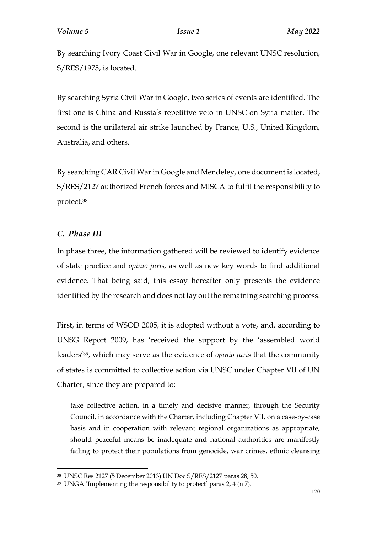By searching Ivory Coast Civil War in Google, one relevant UNSC resolution, S/RES/1975, is located.

By searching Syria Civil War in Google, two series of events are identified. The first one is China and Russia's repetitive veto in UNSC on Syria matter. The second is the unilateral air strike launched by France, U.S., United Kingdom, Australia, and others.

By searching CAR Civil War in Google and Mendeley, one document is located, S/RES/2127 authorized French forces and MISCA to fulfil the responsibility to protect.<sup>38</sup>

## *C. Phase III*

-

In phase three, the information gathered will be reviewed to identify evidence of state practice and *opinio juris,* as well as new key words to find additional evidence. That being said, this essay hereafter only presents the evidence identified by the research and does not lay out the remaining searching process.

First, in terms of WSOD 2005, it is adopted without a vote, and, according to UNSG Report 2009, has 'received the support by the 'assembled world leaders'39, which may serve as the evidence of *opinio juris* that the community of states is committed to collective action via UNSC under Chapter VII of UN Charter, since they are prepared to:

take collective action, in a timely and decisive manner, through the Security Council, in accordance with the Charter, including Chapter VII, on a case-by-case basis and in cooperation with relevant regional organizations as appropriate, should peaceful means be inadequate and national authorities are manifestly failing to protect their populations from genocide, war crimes, ethnic cleansing

<sup>38</sup> UNSC Res 2127 (5 December 2013) UN Doc S/RES/2127 paras 28, 50.

 $39$  UNGA 'Implementing the responsibility to protect' paras 2, 4 (n 7).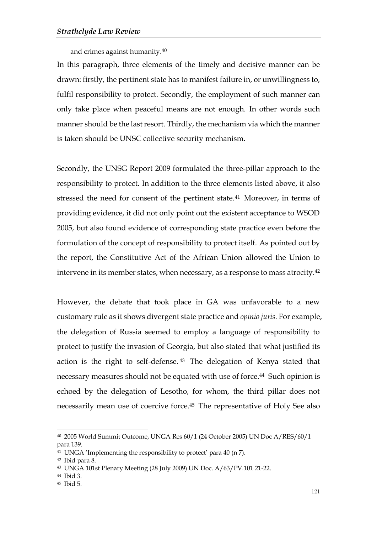and crimes against humanity.<sup>40</sup>

In this paragraph, three elements of the timely and decisive manner can be drawn: firstly, the pertinent state has to manifest failure in, or unwillingness to, fulfil responsibility to protect. Secondly, the employment of such manner can only take place when peaceful means are not enough. In other words such manner should be the last resort. Thirdly, the mechanism via which the manner is taken should be UNSC collective security mechanism.

Secondly, the UNSG Report 2009 formulated the three-pillar approach to the responsibility to protect. In addition to the three elements listed above, it also stressed the need for consent of the pertinent state.<sup>41</sup> Moreover, in terms of providing evidence, it did not only point out the existent acceptance to WSOD 2005, but also found evidence of corresponding state practice even before the formulation of the concept of responsibility to protect itself. As pointed out by the report, the Constitutive Act of the African Union allowed the Union to intervene in its member states, when necessary, as a response to mass atrocity.<sup>42</sup>

However, the debate that took place in GA was unfavorable to a new customary rule as it shows divergent state practice and *opinio juris*. For example, the delegation of Russia seemed to employ a language of responsibility to protect to justify the invasion of Georgia, but also stated that what justified its action is the right to self-defense. <sup>43</sup> The delegation of Kenya stated that necessary measures should not be equated with use of force.<sup>44</sup> Such opinion is echoed by the delegation of Lesotho, for whom, the third pillar does not necessarily mean use of coercive force.<sup>45</sup> The representative of Holy See also

<sup>40</sup> 2005 World Summit Outcome, UNGA Res 60/1 (24 October 2005) UN Doc A/RES/60/1 para 139.

<sup>41</sup> UNGA 'Implementing the responsibility to protect' para 40 (n 7).

<sup>42</sup> Ibid para 8.

<sup>43</sup> UNGA 101st Plenary Meeting (28 July 2009) UN Doc. A/63/PV.101 21-22.

<sup>44</sup> Ibid 3.

<sup>45</sup> Ibid 5.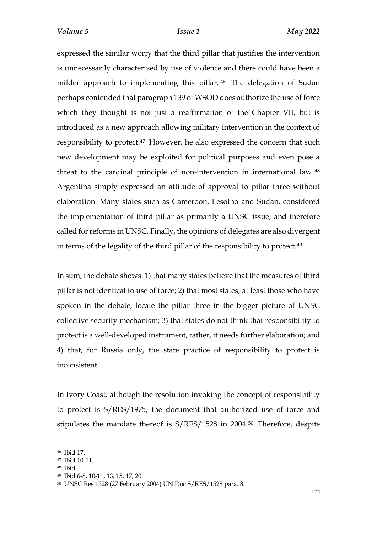expressed the similar worry that the third pillar that justifies the intervention is unnecessarily characterized by use of violence and there could have been a milder approach to implementing this pillar. <sup>46</sup> The delegation of Sudan perhaps contended that paragraph 139 of WSOD does authorize the use of force which they thought is not just a reaffirmation of the Chapter VII, but is introduced as a new approach allowing military intervention in the context of responsibility to protect.<sup>47</sup> However, he also expressed the concern that such new development may be exploited for political purposes and even pose a threat to the cardinal principle of non-intervention in international law. <sup>48</sup> Argentina simply expressed an attitude of approval to pillar three without elaboration. Many states such as Cameroon, Lesotho and Sudan, considered the implementation of third pillar as primarily a UNSC issue, and therefore called for reforms in UNSC. Finally, the opinions of delegates are also divergent in terms of the legality of the third pillar of the responsibility to protect.<sup>49</sup>

In sum, the debate shows: 1) that many states believe that the measures of third pillar is not identical to use of force; 2) that most states, at least those who have spoken in the debate, locate the pillar three in the bigger picture of UNSC collective security mechanism; 3) that states do not think that responsibility to protect is a well-developed instrument, rather, it needs further elaboration; and 4) that, for Russia only, the state practice of responsibility to protect is inconsistent.

In Ivory Coast, although the resolution invoking the concept of responsibility to protect is S/RES/1975, the document that authorized use of force and stipulates the mandate thereof is S/RES/1528 in 2004. <sup>50</sup> Therefore, despite

<sup>46</sup> Ibid 17.

<sup>47</sup> Ibid 10-11.

<sup>48</sup> Ibid.

<sup>49</sup> Ibid 6-8, 10-11, 13, 15, 17, 20.

<sup>50</sup> UNSC Res 1528 (27 February 2004) UN Doc S/RES/1528 para. 8.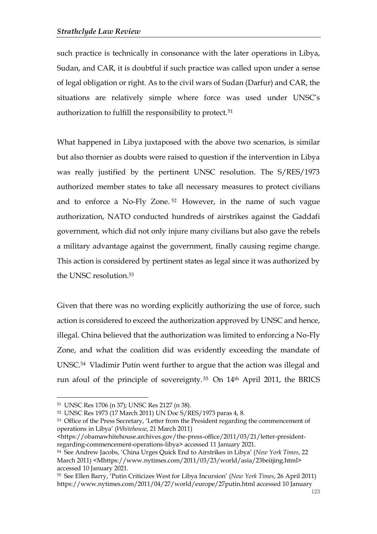such practice is technically in consonance with the later operations in Libya, Sudan, and CAR, it is doubtful if such practice was called upon under a sense of legal obligation or right. As to the civil wars of Sudan (Darfur) and CAR, the situations are relatively simple where force was used under UNSC's authorization to fulfill the responsibility to protect.<sup>51</sup>

What happened in Libya juxtaposed with the above two scenarios, is similar but also thornier as doubts were raised to question if the intervention in Libya was really justified by the pertinent UNSC resolution. The S/RES/1973 authorized member states to take all necessary measures to protect civilians and to enforce a No-Fly Zone. <sup>52</sup> However, in the name of such vague authorization, NATO conducted hundreds of airstrikes against the Gaddafi government, which did not only injure many civilians but also gave the rebels a military advantage against the government, finally causing regime change. This action is considered by pertinent states as legal since it was authorized by the UNSC resolution.<sup>53</sup>

Given that there was no wording explicitly authorizing the use of force, such action is considered to exceed the authorization approved by UNSC and hence, illegal. China believed that the authorization was limited to enforcing a No-Fly Zone, and what the coalition did was evidently exceeding the mandate of UNSC.<sup>54</sup> Vladimir Putin went further to argue that the action was illegal and run afoul of the principle of sovereignty. <sup>55</sup> On 14th April 2011, the BRICS

<sup>51</sup> UNSC Res 1706 (n 37); UNSC Res 2127 (n 38).

<sup>52</sup> UNSC Res 1973 (17 March 2011) UN Doc S/RES/1973 paras 4, 8.

<sup>53</sup> Office of the Press Secretary, 'Letter from the President regarding the commencement of operations in Libya' (*Whitehouse*, 21 March 2011)

<sup>&</sup>lt;https://obamawhitehouse.archives.gov/the-press-office/2011/03/21/letter-presidentregarding-commencement-operations-libya> accessed 11 January 2021.

<sup>54</sup> See Andrew Jacobs, 'China Urges Quick End to Airstrikes in Libya' (*New York Times*, 22 March 2011) <Mhttps://www.nytimes.com/2011/03/23/world/asia/23beiijing.html> accessed 10 January 2021.

<sup>55</sup> See Ellen Barry, 'Putin Criticizes West for Libya Incursion' (*New York Times*, 26 April 2011) https://www.nytimes.com/2011/04/27/world/europe/27putin.html accessed 10 January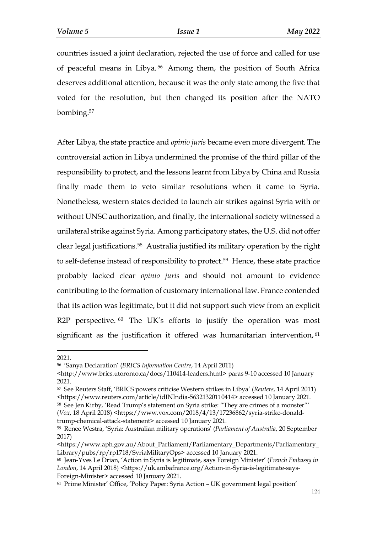countries issued a joint declaration, rejected the use of force and called for use of peaceful means in Libya. <sup>56</sup> Among them, the position of South Africa deserves additional attention, because it was the only state among the five that voted for the resolution, but then changed its position after the NATO bombing.<sup>57</sup>

After Libya, the state practice and *opinio juris* became even more divergent. The controversial action in Libya undermined the promise of the third pillar of the responsibility to protect, and the lessons learnt from Libya by China and Russia finally made them to veto similar resolutions when it came to Syria. Nonetheless, western states decided to launch air strikes against Syria with or without UNSC authorization, and finally, the international society witnessed a unilateral strike against Syria. Among participatory states, the U.S. did not offer clear legal justifications.<sup>58</sup> Australia justified its military operation by the right to self-defense instead of responsibility to protect.<sup>59</sup> Hence, these state practice probably lacked clear *opinio juris* and should not amount to evidence contributing to the formation of customary international law. France contended that its action was legitimate, but it did not support such view from an explicit R2P perspective.  $60$  The UK's efforts to justify the operation was most significant as the justification it offered was humanitarian intervention, 61

<sup>2021.</sup>

<sup>56</sup> 'Sanya Declaration' (*BRICS Information Centre*, 14 April 2011)

<sup>&</sup>lt;http://www.brics.utoronto.ca/docs/110414-leaders.html> paras 9-10 accessed 10 January 2021.

<sup>57</sup> See Reuters Staff, 'BRICS powers criticise Western strikes in Libya' (*Reuters*, 14 April 2011) <https://www.reuters.com/article/idINIndia-56321320110414> accessed 10 January 2021.

<sup>58</sup> See Jen Kirby, 'Read Trump's statement on Syria strike: "They are crimes of a monster"'

<sup>(</sup>*Vox*, 18 April 2018) <https://www.vox.com/2018/4/13/17236862/syria-strike-donaldtrump-chemical-attack-statement> accessed 10 January 2021.

<sup>59</sup> Renee Westra, 'Syria: Australian military operations' (*Parliament of Australia*, 20 September 2017)

<sup>&</sup>lt;https://www.aph.gov.au/About\_Parliament/Parliamentary\_Departments/Parliamentary\_ Library/pubs/rp/rp1718/SyriaMilitaryOps> accessed 10 January 2021.

<sup>60</sup> Jean-Yves Le Drian, 'Action in Syria is legitimate, says Foreign Minister' (*French Embassy in*  London, 14 April 2018) <https://uk.ambafrance.org/Action-in-Syria-is-legitimate-says-Foreign-Minister> accessed 10 January 2021.

<sup>61</sup> Prime Minister' Office, 'Policy Paper: Syria Action – UK government legal position'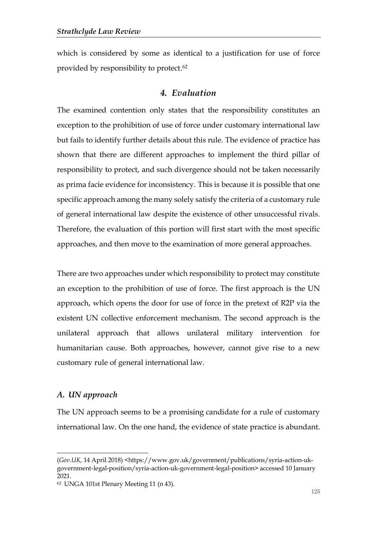which is considered by some as identical to a justification for use of force provided by responsibility to protect. 62

## *4. Evaluation*

The examined contention only states that the responsibility constitutes an exception to the prohibition of use of force under customary international law but fails to identify further details about this rule. The evidence of practice has shown that there are different approaches to implement the third pillar of responsibility to protect, and such divergence should not be taken necessarily as prima facie evidence for inconsistency. This is because it is possible that one specific approach among the many solely satisfy the criteria of a customary rule of general international law despite the existence of other unsuccessful rivals. Therefore, the evaluation of this portion will first start with the most specific approaches, and then move to the examination of more general approaches.

There are two approaches under which responsibility to protect may constitute an exception to the prohibition of use of force. The first approach is the UN approach, which opens the door for use of force in the pretext of R2P via the existent UN collective enforcement mechanism. The second approach is the unilateral approach that allows unilateral military intervention for humanitarian cause. Both approaches, however, cannot give rise to a new customary rule of general international law.

#### *A. UN approach*

-

The UN approach seems to be a promising candidate for a rule of customary international law. On the one hand, the evidence of state practice is abundant.

<sup>(</sup>*Gov.UK*, 14 April 2018) <https://www.gov.uk/government/publications/syria-action-ukgovernment-legal-position/syria-action-uk-government-legal-position> accessed 10 January 2021.

<sup>62</sup> UNGA 101st Plenary Meeting 11 (n 43).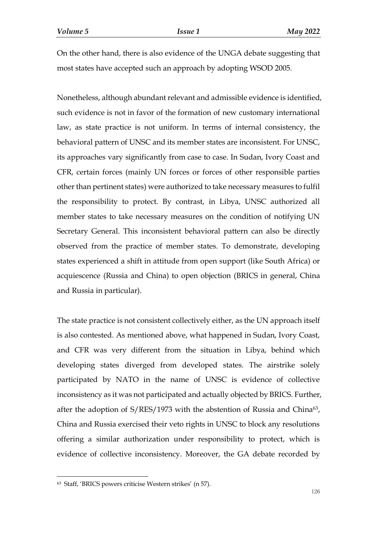On the other hand, there is also evidence of the UNGA debate suggesting that most states have accepted such an approach by adopting WSOD 2005.

Nonetheless, although abundant relevant and admissible evidence is identified, such evidence is not in favor of the formation of new customary international law, as state practice is not uniform. In terms of internal consistency, the behavioral pattern of UNSC and its member states are inconsistent. For UNSC, its approaches vary significantly from case to case. In Sudan, Ivory Coast and CFR, certain forces (mainly UN forces or forces of other responsible parties other than pertinent states) were authorized to take necessary measures to fulfil the responsibility to protect. By contrast, in Libya, UNSC authorized all member states to take necessary measures on the condition of notifying UN Secretary General. This inconsistent behavioral pattern can also be directly observed from the practice of member states. To demonstrate, developing states experienced a shift in attitude from open support (like South Africa) or acquiescence (Russia and China) to open objection (BRICS in general, China and Russia in particular).

The state practice is not consistent collectively either, as the UN approach itself is also contested. As mentioned above, what happened in Sudan, Ivory Coast, and CFR was very different from the situation in Libya, behind which developing states diverged from developed states. The airstrike solely participated by NATO in the name of UNSC is evidence of collective inconsistency as it was not participated and actually objected by BRICS. Further, after the adoption of  $S/RES/1973$  with the abstention of Russia and China<sup>63</sup>, China and Russia exercised their veto rights in UNSC to block any resolutions offering a similar authorization under responsibility to protect, which is evidence of collective inconsistency. Moreover, the GA debate recorded by

<sup>63</sup> Staff, 'BRICS powers criticise Western strikes' (n 57).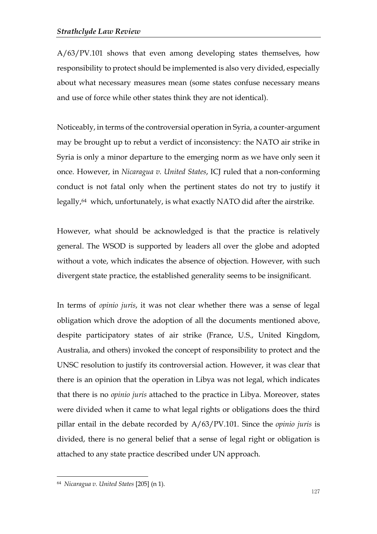A/63/PV.101 shows that even among developing states themselves, how responsibility to protect should be implemented is also very divided, especially about what necessary measures mean (some states confuse necessary means and use of force while other states think they are not identical).

Noticeably, in terms of the controversial operation in Syria, a counter-argument may be brought up to rebut a verdict of inconsistency: the NATO air strike in Syria is only a minor departure to the emerging norm as we have only seen it once. However, in *Nicaragua v. United States*, ICJ ruled that a non-conforming conduct is not fatal only when the pertinent states do not try to justify it legally, <sup>64</sup> which, unfortunately, is what exactly NATO did after the airstrike.

However, what should be acknowledged is that the practice is relatively general. The WSOD is supported by leaders all over the globe and adopted without a vote, which indicates the absence of objection. However, with such divergent state practice, the established generality seems to be insignificant.

In terms of *opinio juris*, it was not clear whether there was a sense of legal obligation which drove the adoption of all the documents mentioned above, despite participatory states of air strike (France, U.S., United Kingdom, Australia, and others) invoked the concept of responsibility to protect and the UNSC resolution to justify its controversial action. However, it was clear that there is an opinion that the operation in Libya was not legal, which indicates that there is no *opinio juris* attached to the practice in Libya. Moreover, states were divided when it came to what legal rights or obligations does the third pillar entail in the debate recorded by A/63/PV.101. Since the *opinio juris* is divided, there is no general belief that a sense of legal right or obligation is attached to any state practice described under UN approach.

<sup>64</sup> *Nicaragua v. United States* [205] (n 1).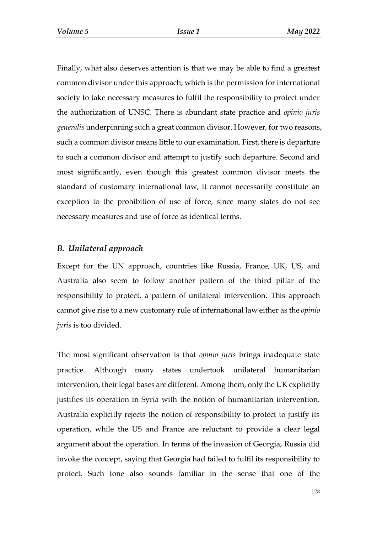Finally, what also deserves attention is that we may be able to find a greatest common divisor under this approach, which is the permission for international society to take necessary measures to fulfil the responsibility to protect under the authorization of UNSC. There is abundant state practice and *opinio juris generalis* underpinning such a great common divisor. However, for two reasons, such a common divisor means little to our examination. First, there is departure to such a common divisor and attempt to justify such departure. Second and most significantly, even though this greatest common divisor meets the standard of customary international law, it cannot necessarily constitute an exception to the prohibition of use of force, since many states do not see necessary measures and use of force as identical terms.

## *B. Unilateral approach*

Except for the UN approach, countries like Russia, France, UK, US, and Australia also seem to follow another pattern of the third pillar of the responsibility to protect, a pattern of unilateral intervention. This approach cannot give rise to a new customary rule of international law either as the *opinio juris* is too divided.

The most significant observation is that *opinio juris* brings inadequate state practice. Although many states undertook unilateral humanitarian intervention, their legal bases are different. Among them, only the UK explicitly justifies its operation in Syria with the notion of humanitarian intervention. Australia explicitly rejects the notion of responsibility to protect to justify its operation, while the US and France are reluctant to provide a clear legal argument about the operation. In terms of the invasion of Georgia, Russia did invoke the concept, saying that Georgia had failed to fulfil its responsibility to protect. Such tone also sounds familiar in the sense that one of the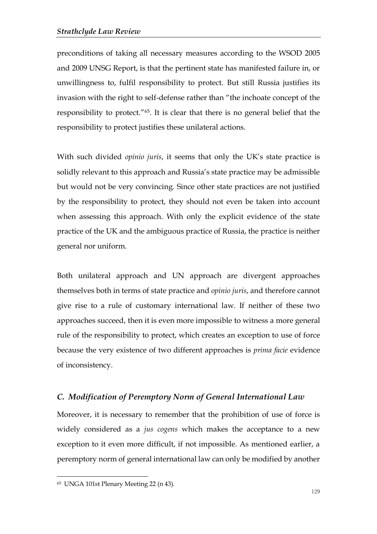preconditions of taking all necessary measures according to the WSOD 2005 and 2009 UNSG Report, is that the pertinent state has manifested failure in, or unwillingness to, fulfil responsibility to protect. But still Russia justifies its invasion with the right to self-defense rather than "the inchoate concept of the responsibility to protect."<sup>65</sup>. It is clear that there is no general belief that the responsibility to protect justifies these unilateral actions.

With such divided *opinio juris*, it seems that only the UK's state practice is solidly relevant to this approach and Russia's state practice may be admissible but would not be very convincing. Since other state practices are not justified by the responsibility to protect, they should not even be taken into account when assessing this approach. With only the explicit evidence of the state practice of the UK and the ambiguous practice of Russia, the practice is neither general nor uniform.

Both unilateral approach and UN approach are divergent approaches themselves both in terms of state practice and *opinio juris*, and therefore cannot give rise to a rule of customary international law. If neither of these two approaches succeed, then it is even more impossible to witness a more general rule of the responsibility to protect, which creates an exception to use of force because the very existence of two different approaches is *prima facie* evidence of inconsistency.

## *C. Modification of Peremptory Norm of General International Law*

Moreover, it is necessary to remember that the prohibition of use of force is widely considered as a *jus cogens* which makes the acceptance to a new exception to it even more difficult, if not impossible. As mentioned earlier, a peremptory norm of general international law can only be modified by another

<sup>65</sup> UNGA 101st Plenary Meeting 22 (n 43).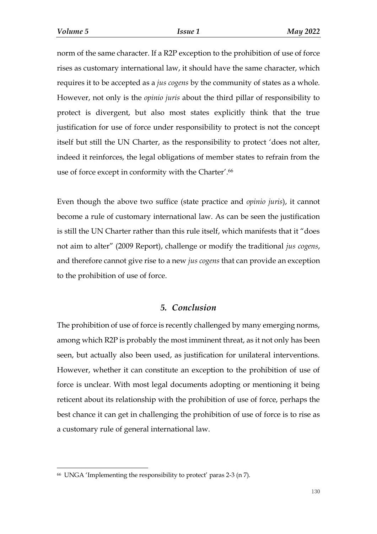norm of the same character. If a R2P exception to the prohibition of use of force rises as customary international law, it should have the same character, which requires it to be accepted as a *jus cogens* by the community of states as a whole. However, not only is the *opinio juris* about the third pillar of responsibility to protect is divergent, but also most states explicitly think that the true justification for use of force under responsibility to protect is not the concept itself but still the UN Charter, as the responsibility to protect 'does not alter, indeed it reinforces, the legal obligations of member states to refrain from the use of force except in conformity with the Charter'. 66

Even though the above two suffice (state practice and *opinio juris*), it cannot become a rule of customary international law. As can be seen the justification is still the UN Charter rather than this rule itself, which manifests that it "does not aim to alter" (2009 Report), challenge or modify the traditional *jus cogens*, and therefore cannot give rise to a new *jus cogens* that can provide an exception to the prohibition of use of force.

#### *5. Conclusion*

The prohibition of use of force is recently challenged by many emerging norms, among which R2P is probably the most imminent threat, as it not only has been seen, but actually also been used, as justification for unilateral interventions. However, whether it can constitute an exception to the prohibition of use of force is unclear. With most legal documents adopting or mentioning it being reticent about its relationship with the prohibition of use of force, perhaps the best chance it can get in challenging the prohibition of use of force is to rise as a customary rule of general international law.

<sup>66</sup> UNGA 'Implementing the responsibility to protect' paras 2-3 (n 7).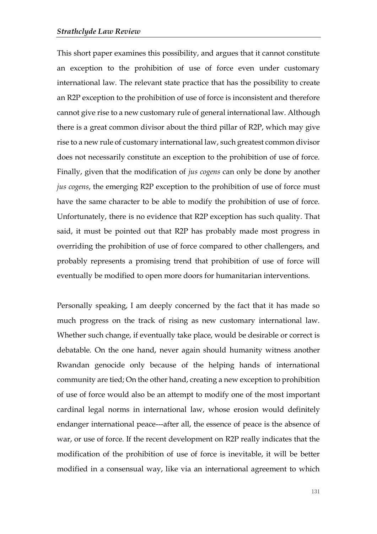This short paper examines this possibility, and argues that it cannot constitute an exception to the prohibition of use of force even under customary international law. The relevant state practice that has the possibility to create an R2P exception to the prohibition of use of force is inconsistent and therefore cannot give rise to a new customary rule of general international law. Although there is a great common divisor about the third pillar of R2P, which may give rise to a new rule of customary international law, such greatest common divisor does not necessarily constitute an exception to the prohibition of use of force. Finally, given that the modification of *jus cogens* can only be done by another *jus cogens*, the emerging R2P exception to the prohibition of use of force must have the same character to be able to modify the prohibition of use of force. Unfortunately, there is no evidence that R2P exception has such quality. That said, it must be pointed out that R2P has probably made most progress in overriding the prohibition of use of force compared to other challengers, and probably represents a promising trend that prohibition of use of force will eventually be modified to open more doors for humanitarian interventions.

Personally speaking, I am deeply concerned by the fact that it has made so much progress on the track of rising as new customary international law. Whether such change, if eventually take place, would be desirable or correct is debatable. On the one hand, never again should humanity witness another Rwandan genocide only because of the helping hands of international community are tied; On the other hand, creating a new exception to prohibition of use of force would also be an attempt to modify one of the most important cardinal legal norms in international law, whose erosion would definitely endanger international peace---after all, the essence of peace is the absence of war, or use of force. If the recent development on R2P really indicates that the modification of the prohibition of use of force is inevitable, it will be better modified in a consensual way, like via an international agreement to which